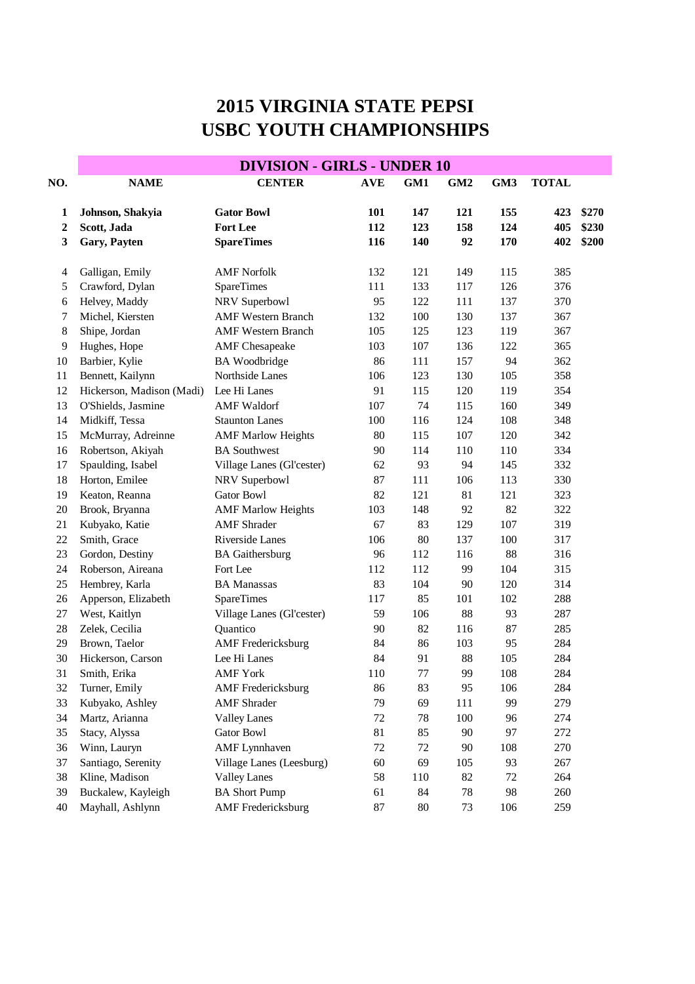## **2015 VIRGINIA STATE PEPSI USBC YOUTH CHAMPIONSHIPS**

| <b>DIVISION - GIRLS - UNDER 10</b> |                                                                                                                                                                                                             |                                                                                                                                                                                                                  |                               |                          |                        |                                |                          |  |  |
|------------------------------------|-------------------------------------------------------------------------------------------------------------------------------------------------------------------------------------------------------------|------------------------------------------------------------------------------------------------------------------------------------------------------------------------------------------------------------------|-------------------------------|--------------------------|------------------------|--------------------------------|--------------------------|--|--|
| <b>NAME</b>                        | <b>CENTER</b>                                                                                                                                                                                               | <b>AVE</b>                                                                                                                                                                                                       | GM1                           | GM <sub>2</sub>          | GM3                    | <b>TOTAL</b>                   |                          |  |  |
|                                    |                                                                                                                                                                                                             |                                                                                                                                                                                                                  |                               |                          |                        |                                | \$270                    |  |  |
|                                    |                                                                                                                                                                                                             |                                                                                                                                                                                                                  |                               |                          |                        |                                | \$230                    |  |  |
|                                    |                                                                                                                                                                                                             |                                                                                                                                                                                                                  |                               |                          |                        |                                | \$200                    |  |  |
|                                    |                                                                                                                                                                                                             |                                                                                                                                                                                                                  |                               |                          |                        |                                |                          |  |  |
| Galligan, Emily                    | <b>AMF</b> Norfolk                                                                                                                                                                                          | 132                                                                                                                                                                                                              | 121                           | 149                      | 115                    | 385                            |                          |  |  |
| Crawford, Dylan                    | <b>SpareTimes</b>                                                                                                                                                                                           | 111                                                                                                                                                                                                              | 133                           | 117                      | 126                    | 376                            |                          |  |  |
| Helvey, Maddy                      | NRV Superbowl                                                                                                                                                                                               | 95                                                                                                                                                                                                               | 122                           | 111                      | 137                    | 370                            |                          |  |  |
| Michel, Kiersten                   | <b>AMF</b> Western Branch                                                                                                                                                                                   | 132                                                                                                                                                                                                              | 100                           | 130                      | 137                    | 367                            |                          |  |  |
| Shipe, Jordan                      | <b>AMF Western Branch</b>                                                                                                                                                                                   | 105                                                                                                                                                                                                              | 125                           | 123                      | 119                    | 367                            |                          |  |  |
| Hughes, Hope                       | <b>AMF</b> Chesapeake                                                                                                                                                                                       | 103                                                                                                                                                                                                              | 107                           | 136                      | 122                    | 365                            |                          |  |  |
| Barbier, Kylie                     | <b>BA</b> Woodbridge                                                                                                                                                                                        | 86                                                                                                                                                                                                               | 111                           | 157                      | 94                     | 362                            |                          |  |  |
| Bennett, Kailynn                   | Northside Lanes                                                                                                                                                                                             | 106                                                                                                                                                                                                              | 123                           | 130                      | 105                    | 358                            |                          |  |  |
| Hickerson, Madison (Madi)          | Lee Hi Lanes                                                                                                                                                                                                | 91                                                                                                                                                                                                               | 115                           | 120                      | 119                    | 354                            |                          |  |  |
| O'Shields, Jasmine                 | <b>AMF</b> Waldorf                                                                                                                                                                                          | 107                                                                                                                                                                                                              | 74                            | 115                      | 160                    | 349                            |                          |  |  |
| Midkiff, Tessa                     | <b>Staunton Lanes</b>                                                                                                                                                                                       | 100                                                                                                                                                                                                              | 116                           | 124                      | 108                    | 348                            |                          |  |  |
| McMurray, Adreinne                 |                                                                                                                                                                                                             | 80                                                                                                                                                                                                               | 115                           | 107                      | 120                    | 342                            |                          |  |  |
| Robertson, Akiyah                  | <b>BA Southwest</b>                                                                                                                                                                                         | 90                                                                                                                                                                                                               | 114                           | 110                      | 110                    | 334                            |                          |  |  |
|                                    | Village Lanes (Gl'cester)                                                                                                                                                                                   | 62                                                                                                                                                                                                               | 93                            | 94                       | 145                    | 332                            |                          |  |  |
| Horton, Emilee                     |                                                                                                                                                                                                             | 87                                                                                                                                                                                                               | 111                           | 106                      | 113                    | 330                            |                          |  |  |
| Keaton, Reanna                     | <b>Gator Bowl</b>                                                                                                                                                                                           | 82                                                                                                                                                                                                               | 121                           | 81                       | 121                    | 323                            |                          |  |  |
| Brook, Bryanna                     | <b>AMF Marlow Heights</b>                                                                                                                                                                                   | 103                                                                                                                                                                                                              | 148                           | 92                       | 82                     | 322                            |                          |  |  |
| Kubyako, Katie                     | <b>AMF</b> Shrader                                                                                                                                                                                          | 67                                                                                                                                                                                                               | 83                            | 129                      | 107                    | 319                            |                          |  |  |
| Smith, Grace                       | Riverside Lanes                                                                                                                                                                                             | 106                                                                                                                                                                                                              | 80                            | 137                      | 100                    | 317                            |                          |  |  |
| Gordon, Destiny                    | <b>BA</b> Gaithersburg                                                                                                                                                                                      | 96                                                                                                                                                                                                               | 112                           | 116                      | 88                     | 316                            |                          |  |  |
| Roberson, Aireana                  | Fort Lee                                                                                                                                                                                                    | 112                                                                                                                                                                                                              | 112                           | 99                       | 104                    | 315                            |                          |  |  |
| Hembrey, Karla                     | <b>BA Manassas</b>                                                                                                                                                                                          | 83                                                                                                                                                                                                               | 104                           | 90                       | 120                    | 314                            |                          |  |  |
|                                    | SpareTimes                                                                                                                                                                                                  | 117                                                                                                                                                                                                              | 85                            | 101                      | 102                    | 288                            |                          |  |  |
| West, Kaitlyn                      | Village Lanes (Gl'cester)                                                                                                                                                                                   | 59                                                                                                                                                                                                               | 106                           | 88                       | 93                     | 287                            |                          |  |  |
| Zelek, Cecilia                     | Quantico                                                                                                                                                                                                    | 90                                                                                                                                                                                                               | 82                            | 116                      | 87                     | 285                            |                          |  |  |
| Brown, Taelor                      |                                                                                                                                                                                                             | 84                                                                                                                                                                                                               | 86                            | 103                      | 95                     | 284                            |                          |  |  |
| Hickerson, Carson                  | Lee Hi Lanes                                                                                                                                                                                                | 84                                                                                                                                                                                                               | 91                            | 88                       | 105                    | 284                            |                          |  |  |
| Smith, Erika                       | <b>AMF</b> York                                                                                                                                                                                             | 110                                                                                                                                                                                                              | 77                            | 99                       | 108                    | 284                            |                          |  |  |
|                                    |                                                                                                                                                                                                             | 86                                                                                                                                                                                                               | 83                            | 95                       | 106                    | 284                            |                          |  |  |
| Kubyako, Ashley                    | <b>AMF</b> Shrader                                                                                                                                                                                          | 79                                                                                                                                                                                                               | 69                            | 111                      | 99                     | 279                            |                          |  |  |
| Martz, Arianna                     | <b>Valley Lanes</b>                                                                                                                                                                                         | 72                                                                                                                                                                                                               | 78                            | 100                      | 96                     | 274                            |                          |  |  |
|                                    | Gator Bowl                                                                                                                                                                                                  |                                                                                                                                                                                                                  | 85                            | 90                       | 97                     |                                |                          |  |  |
|                                    |                                                                                                                                                                                                             | 72                                                                                                                                                                                                               | 72                            | 90                       |                        | 270                            |                          |  |  |
|                                    | Village Lanes (Leesburg)                                                                                                                                                                                    | 60                                                                                                                                                                                                               | 69                            | 105                      | 93                     | 267                            |                          |  |  |
|                                    |                                                                                                                                                                                                             |                                                                                                                                                                                                                  |                               |                          |                        | 264                            |                          |  |  |
|                                    | <b>BA Short Pump</b>                                                                                                                                                                                        | 61                                                                                                                                                                                                               | 84                            | $78\,$                   | 98                     | 260                            |                          |  |  |
| Mayhall, Ashlynn                   | <b>AMF</b> Fredericksburg                                                                                                                                                                                   | 87                                                                                                                                                                                                               | 80                            | 73                       | 106                    | 259                            |                          |  |  |
|                                    | Johnson, Shakyia<br>Scott, Jada<br>Gary, Payten<br>Spaulding, Isabel<br>Apperson, Elizabeth<br>Turner, Emily<br>Stacy, Alyssa<br>Winn, Lauryn<br>Santiago, Serenity<br>Kline, Madison<br>Buckalew, Kayleigh | <b>Gator Bowl</b><br><b>Fort Lee</b><br><b>SpareTimes</b><br><b>AMF Marlow Heights</b><br>NRV Superbowl<br><b>AMF</b> Fredericksburg<br><b>AMF</b> Fredericksburg<br><b>AMF</b> Lynnhaven<br><b>Valley Lanes</b> | 101<br>112<br>116<br>81<br>58 | 147<br>123<br>140<br>110 | 121<br>158<br>92<br>82 | 155<br>124<br>170<br>108<br>72 | 423<br>405<br>402<br>272 |  |  |